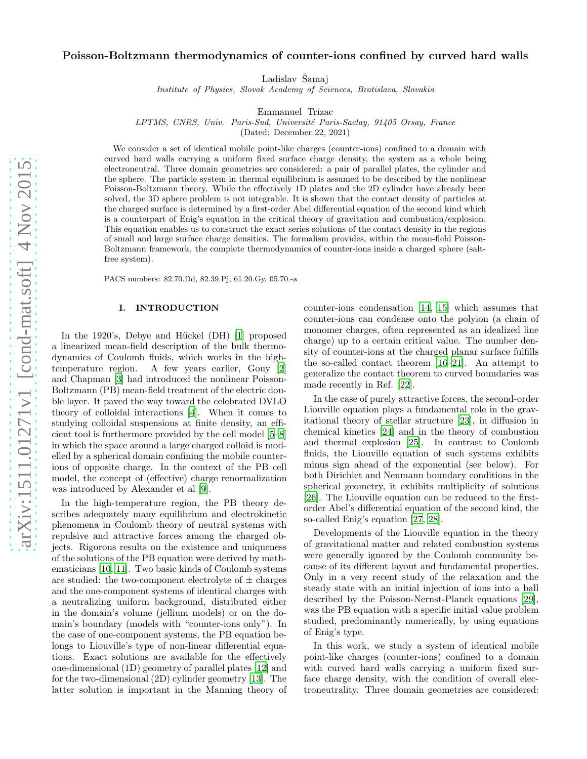# Poisson-Boltzmann thermodynamics of counter-ions confined by curved hard walls

Ladislav Šamaj

Institute of Physics, Slovak Academy of Sciences, Bratislava, Slovakia

Emmanuel Trizac

LPTMS, CNRS, Univ. Paris-Sud, Université Paris-Saclay, 91405 Orsay, France

(Dated: December 22, 2021)

We consider a set of identical mobile point-like charges (counter-ions) confined to a domain with curved hard walls carrying a uniform fixed surface charge density, the system as a whole being electroneutral. Three domain geometries are considered: a pair of parallel plates, the cylinder and the sphere. The particle system in thermal equilibrium is assumed to be described by the nonlinear Poisson-Boltzmann theory. While the effectively 1D plates and the 2D cylinder have already been solved, the 3D sphere problem is not integrable. It is shown that the contact density of particles at the charged surface is determined by a first-order Abel differential equation of the second kind which is a counterpart of Enig's equation in the critical theory of gravitation and combustion/explosion. This equation enables us to construct the exact series solutions of the contact density in the regions of small and large surface charge densities. The formalism provides, within the mean-field Poisson-Boltzmann framework, the complete thermodynamics of counter-ions inside a charged sphere (saltfree system).

PACS numbers: 82.70.Dd, 82.39.Pj, 61.20.Gy, 05.70.-a

#### I. INTRODUCTION

In the 1920's, Debye and Hückel (DH) [\[1](#page-9-0)] proposed a linearized mean-field description of the bulk thermodynamics of Coulomb fluids, which works in the hightemperature region. A few years earlier, Gouy [\[2](#page-9-1)] and Chapman [\[3\]](#page-9-2) had introduced the nonlinear Poisson-Boltzmann (PB) mean-field treatment of the electric double layer. It paved the way toward the celebrated DVLO theory of colloidal interactions [\[4](#page-9-3)]. When it comes to studying colloidal suspensions at finite density, an efficient tool is furthermore provided by the cell model [\[5](#page-9-4)[–8](#page-9-5)] in which the space around a large charged colloid is modelled by a spherical domain confining the mobile counterions of opposite charge. In the context of the PB cell model, the concept of (effective) charge renormalization was introduced by Alexander et al [\[9\]](#page-9-6).

In the high-temperature region, the PB theory describes adequately many equilibrium and electrokinetic phenomena in Coulomb theory of neutral systems with repulsive and attractive forces among the charged objects. Rigorous results on the existence and uniqueness of the solutions of the PB equation were derived by mathematicians [\[10,](#page-9-7) [11](#page-9-8)]. Two basic kinds of Coulomb systems are studied: the two-component electrolyte of  $\pm$  charges and the one-component systems of identical charges with a neutralizing uniform background, distributed either in the domain's volume (jellium models) or on the domain's boundary (models with "counter-ions only"). In the case of one-component systems, the PB equation belongs to Liouville's type of non-linear differential equations. Exact solutions are available for the effectively one-dimensional (1D) geometry of parallel plates [\[12\]](#page-9-9) and for the two-dimensional (2D) cylinder geometry [\[13](#page-9-10)]. The latter solution is important in the Manning theory of counter-ions condensation [\[14,](#page-9-11) [15\]](#page-9-12) which assumes that counter-ions can condense onto the polyion (a chain of monomer charges, often represented as an idealized line charge) up to a certain critical value. The number density of counter-ions at the charged planar surface fulfills the so-called contact theorem [\[16](#page-9-13)[–21\]](#page-9-14). An attempt to generalize the contact theorem to curved boundaries was made recently in Ref. [\[22\]](#page-9-15).

In the case of purely attractive forces, the second-order Liouville equation plays a fundamental role in the gravitational theory of stellar structure [\[23\]](#page-9-16), in diffusion in chemical kinetics [\[24\]](#page-9-17) and in the theory of combustion and thermal explosion [\[25\]](#page-9-18). In contrast to Coulomb fluids, the Liouville equation of such systems exhibits minus sign ahead of the exponential (see below). For both Dirichlet and Neumann boundary conditions in the spherical geometry, it exhibits multiplicity of solutions [\[26\]](#page-9-19). The Liouville equation can be reduced to the firstorder Abel's differential equation of the second kind, the so-called Enig's equation [\[27,](#page-9-20) [28\]](#page-9-21).

Developments of the Liouville equation in the theory of gravitational matter and related combustion systems were generally ignored by the Coulomb community because of its different layout and fundamental properties. Only in a very recent study of the relaxation and the steady state with an initial injection of ions into a ball described by the Poisson-Nernst-Planck equations [\[29\]](#page-9-22), was the PB equation with a specific initial value problem studied, predominantly numerically, by using equations of Enig's type.

In this work, we study a system of identical mobile point-like charges (counter-ions) confined to a domain with curved hard walls carrying a uniform fixed surface charge density, with the condition of overall electroneutrality. Three domain geometries are considered: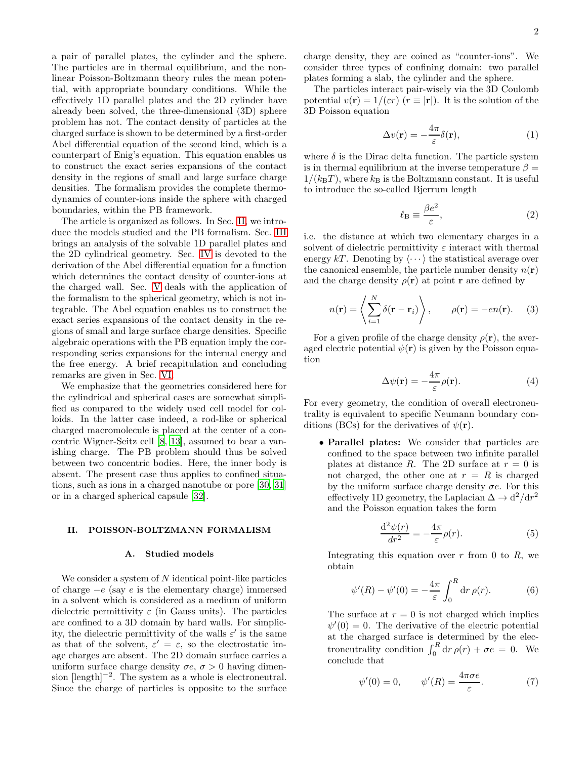a pair of parallel plates, the cylinder and the sphere. The particles are in thermal equilibrium, and the nonlinear Poisson-Boltzmann theory rules the mean potential, with appropriate boundary conditions. While the effectively 1D parallel plates and the 2D cylinder have already been solved, the three-dimensional (3D) sphere problem has not. The contact density of particles at the charged surface is shown to be determined by a first-order Abel differential equation of the second kind, which is a counterpart of Enig's equation. This equation enables us to construct the exact series expansions of the contact density in the regions of small and large surface charge densities. The formalism provides the complete thermodynamics of counter-ions inside the sphere with charged boundaries, within the PB framework.

The article is organized as follows. In Sec. [II,](#page-1-0) we introduce the models studied and the PB formalism. Sec. [III](#page-3-0) brings an analysis of the solvable 1D parallel plates and the 2D cylindrical geometry. Sec. [IV](#page-6-0) is devoted to the derivation of the Abel differential equation for a function which determines the contact density of counter-ions at the charged wall. Sec. [V](#page-7-0) deals with the application of the formalism to the spherical geometry, which is not integrable. The Abel equation enables us to construct the exact series expansions of the contact density in the regions of small and large surface charge densities. Specific algebraic operations with the PB equation imply the corresponding series expansions for the internal energy and the free energy. A brief recapitulation and concluding remarks are given in Sec. [VI.](#page-8-0)

We emphasize that the geometries considered here for the cylindrical and spherical cases are somewhat simplified as compared to the widely used cell model for colloids. In the latter case indeed, a rod-like or spherical charged macromolecule is placed at the center of a concentric Wigner-Seitz cell [\[8,](#page-9-5) [13](#page-9-10)], assumed to bear a vanishing charge. The PB problem should thus be solved between two concentric bodies. Here, the inner body is absent. The present case thus applies to confined situations, such as ions in a charged nanotube or pore [\[30,](#page-9-23) [31](#page-9-24)] or in a charged spherical capsule [\[32](#page-9-25)].

# <span id="page-1-0"></span>II. POISSON-BOLTZMANN FORMALISM

# A. Studied models

We consider a system of  $N$  identical point-like particles of charge  $-e$  (say e is the elementary charge) immersed in a solvent which is considered as a medium of uniform dielectric permittivity  $\varepsilon$  (in Gauss units). The particles are confined to a 3D domain by hard walls. For simplicity, the dielectric permittivity of the walls  $\varepsilon'$  is the same as that of the solvent,  $\varepsilon' = \varepsilon$ , so the electrostatic image charges are absent. The 2D domain surface carries a uniform surface charge density  $\sigma e$ ,  $\sigma > 0$  having dimension [length]<sup>-2</sup>. The system as a whole is electroneutral. Since the charge of particles is opposite to the surface charge density, they are coined as "counter-ions". We consider three types of confining domain: two parallel plates forming a slab, the cylinder and the sphere.

The particles interact pair-wisely via the 3D Coulomb potential  $v(\mathbf{r}) = 1/(\varepsilon r)$   $(r \equiv |\mathbf{r}|)$ . It is the solution of the 3D Poisson equation

<span id="page-1-3"></span>
$$
\Delta v(\mathbf{r}) = -\frac{4\pi}{\varepsilon} \delta(\mathbf{r}),\tag{1}
$$

where  $\delta$  is the Dirac delta function. The particle system is in thermal equilibrium at the inverse temperature  $\beta =$  $1/(k_{\text{B}}T)$ , where  $k_{\text{B}}$  is the Boltzmann constant. It is useful to introduce the so-called Bjerrum length

$$
\ell_{\rm B} \equiv \frac{\beta e^2}{\varepsilon},\tag{2}
$$

i.e. the distance at which two elementary charges in a solvent of dielectric permittivity  $\varepsilon$  interact with thermal energy kT. Denoting by  $\langle \cdots \rangle$  the statistical average over the canonical ensemble, the particle number density  $n(\mathbf{r})$ and the charge density  $\rho(\mathbf{r})$  at point **r** are defined by

$$
n(\mathbf{r}) = \left\langle \sum_{i=1}^{N} \delta(\mathbf{r} - \mathbf{r}_i) \right\rangle, \qquad \rho(\mathbf{r}) = -en(\mathbf{r}). \quad (3)
$$

For a given profile of the charge density  $\rho(\mathbf{r})$ , the averaged electric potential  $\psi(\mathbf{r})$  is given by the Poisson equation

<span id="page-1-2"></span>
$$
\Delta\psi(\mathbf{r}) = -\frac{4\pi}{\varepsilon}\rho(\mathbf{r}).\tag{4}
$$

For every geometry, the condition of overall electroneutrality is equivalent to specific Neumann boundary conditions (BCs) for the derivatives of  $\psi(\mathbf{r})$ .

• Parallel plates: We consider that particles are confined to the space between two infinite parallel plates at distance R. The 2D surface at  $r = 0$  is not charged, the other one at  $r = R$  is charged by the uniform surface charge density  $\sigma e$ . For this effectively 1D geometry, the Laplacian  $\Delta \to d^2/dr^2$ and the Poisson equation takes the form

$$
\frac{\mathrm{d}^2\psi(r)}{\mathrm{d}r^2} = -\frac{4\pi}{\varepsilon}\rho(r). \tag{5}
$$

Integrating this equation over  $r$  from 0 to  $R$ , we obtain

$$
\psi'(R) - \psi'(0) = -\frac{4\pi}{\varepsilon} \int_0^R dr \,\rho(r). \tag{6}
$$

The surface at  $r = 0$  is not charged which implies  $\psi'(0) = 0$ . The derivative of the electric potential at the charged surface is determined by the electroneutrality condition  $\int_0^R dr \,\rho(r) + \sigma e = 0$ . We conclude that

<span id="page-1-1"></span>
$$
\psi'(0) = 0, \qquad \psi'(R) = \frac{4\pi\sigma e}{\varepsilon}.
$$
 (7)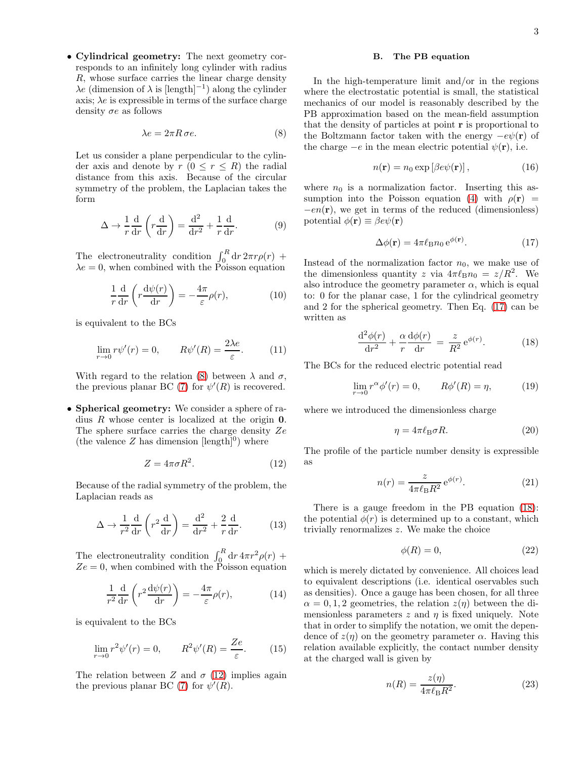• Cylindrical geometry: The next geometry corresponds to an infinitely long cylinder with radius R, whose surface carries the linear charge density  $\lambda e$  (dimension of  $\lambda$  is [length]<sup>-1</sup>) along the cylinder axis;  $\lambda e$  is expressible in terms of the surface charge density  $\sigma e$  as follows

<span id="page-2-0"></span>
$$
\lambda e = 2\pi R \,\sigma e. \tag{8}
$$

Let us consider a plane perpendicular to the cylinder axis and denote by  $r (0 \leq r \leq R)$  the radial distance from this axis. Because of the circular symmetry of the problem, the Laplacian takes the form

$$
\Delta \to \frac{1}{r} \frac{d}{dr} \left( r \frac{d}{dr} \right) = \frac{d^2}{dr^2} + \frac{1}{r} \frac{d}{dr}.
$$
 (9)

The electroneutrality condition  $\int_0^R dr 2\pi r \rho(r)$  +  $\lambda e = 0$ , when combined with the Poisson equation

$$
\frac{1}{r}\frac{\mathrm{d}}{\mathrm{d}r}\left(r\frac{\mathrm{d}\psi(r)}{\mathrm{d}r}\right) = -\frac{4\pi}{\varepsilon}\rho(r),\tag{10}
$$

is equivalent to the BCs

$$
\lim_{r \to 0} r\psi'(r) = 0, \qquad R\psi'(R) = \frac{2\lambda e}{\varepsilon}.
$$
 (11)

With regard to the relation [\(8\)](#page-2-0) between  $\lambda$  and  $\sigma$ , the previous planar BC [\(7\)](#page-1-1) for  $\psi'(R)$  is recovered.

• Spherical geometry: We consider a sphere of radius R whose center is localized at the origin 0. The sphere surface carries the charge density Ze (the valence  $Z$  has dimension  $[\text{length}]^0$ ) where

<span id="page-2-1"></span>
$$
Z = 4\pi\sigma R^2. \tag{12}
$$

Because of the radial symmetry of the problem, the Laplacian reads as

$$
\Delta \to \frac{1}{r^2} \frac{d}{dr} \left( r^2 \frac{d}{dr} \right) = \frac{d^2}{dr^2} + \frac{2}{r} \frac{d}{dr}.
$$
 (13)

The electroneutrality condition  $\int_0^R dr \, 4\pi r^2 \rho(r)$  +  $Ze = 0$ , when combined with the Poisson equation

$$
\frac{1}{r^2}\frac{\mathrm{d}}{\mathrm{d}r}\left(r^2\frac{\mathrm{d}\psi(r)}{\mathrm{d}r}\right) = -\frac{4\pi}{\varepsilon}\rho(r),\tag{14}
$$

is equivalent to the BCs

$$
\lim_{r \to 0} r^2 \psi'(r) = 0, \qquad R^2 \psi'(R) = \frac{Ze}{\varepsilon}.
$$
 (15)

The relation between Z and  $\sigma$  [\(12\)](#page-2-1) implies again the previous planar BC [\(7\)](#page-1-1) for  $\psi'(\hat{R})$ .

# B. The PB equation

In the high-temperature limit and/or in the regions where the electrostatic potential is small, the statistical mechanics of our model is reasonably described by the PB approximation based on the mean-field assumption that the density of particles at point r is proportional to the Boltzmann factor taken with the energy  $-e\psi(\mathbf{r})$  of the charge  $-e$  in the mean electric potential  $\psi(\mathbf{r})$ , i.e.

$$
n(\mathbf{r}) = n_0 \exp \left[ \beta e \psi(\mathbf{r}) \right],\tag{16}
$$

where  $n_0$  is a normalization factor. Inserting this as-sumption into the Poisson equation [\(4\)](#page-1-2) with  $\rho(\mathbf{r})$  =  $-en(\mathbf{r})$ , we get in terms of the reduced (dimensionless) potential  $\phi(\mathbf{r}) \equiv \beta e \psi(\mathbf{r})$ 

<span id="page-2-2"></span>
$$
\Delta\phi(\mathbf{r}) = 4\pi\ell_{\mathrm{B}}n_0 e^{\phi(\mathbf{r})}.\tag{17}
$$

Instead of the normalization factor  $n_0$ , we make use of the dimensionless quantity z via  $4\pi\ell_{\rm B}n_0 = z/R^2$ . We also introduce the geometry parameter  $\alpha$ , which is equal to: 0 for the planar case, 1 for the cylindrical geometry and 2 for the spherical geometry. Then Eq. [\(17\)](#page-2-2) can be written as

<span id="page-2-3"></span>
$$
\frac{\mathrm{d}^2 \phi(r)}{\mathrm{d}r^2} + \frac{\alpha}{r} \frac{\mathrm{d}\phi(r)}{\mathrm{d}r} = \frac{z}{R^2} e^{\phi(r)}.\tag{18}
$$

The BCs for the reduced electric potential read

<span id="page-2-5"></span>
$$
\lim_{r \to 0} r^{\alpha} \phi'(r) = 0, \qquad R\phi'(R) = \eta, \tag{19}
$$

where we introduced the dimensionless charge

$$
\eta = 4\pi \ell_{\rm B} \sigma R. \tag{20}
$$

The profile of the particle number density is expressible as

$$
n(r) = \frac{z}{4\pi\ell_{\mathrm{B}}R^2} e^{\phi(r)}.
$$
\n
$$
(21)
$$

There is a gauge freedom in the PB equation [\(18\)](#page-2-3): the potential  $\phi(r)$  is determined up to a constant, which trivially renormalizes z. We make the choice

$$
\phi(R) = 0,\tag{22}
$$

which is merely dictated by convenience. All choices lead to equivalent descriptions (i.e. identical oservables such as densities). Once a gauge has been chosen, for all three  $\alpha = 0, 1, 2$  geometries, the relation  $z(\eta)$  between the dimensionless parameters  $z$  and  $\eta$  is fixed uniquely. Note that in order to simplify the notation, we omit the dependence of  $z(\eta)$  on the geometry parameter  $\alpha$ . Having this relation available explicitly, the contact number density at the charged wall is given by

<span id="page-2-4"></span>
$$
n(R) = \frac{z(\eta)}{4\pi\ell_{\rm B}R^2}.\tag{23}
$$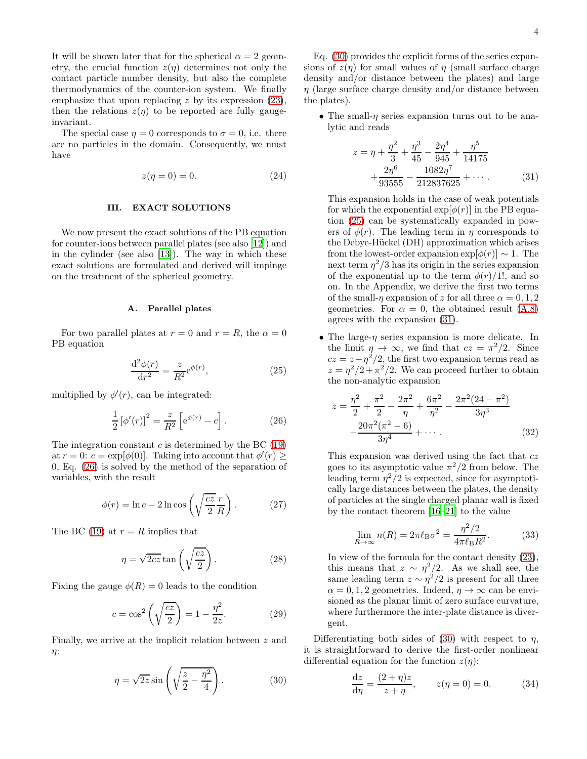It will be shown later that for the spherical  $\alpha = 2$  geometry, the crucial function  $z(\eta)$  determines not only the contact particle number density, but also the complete thermodynamics of the counter-ion system. We finally emphasize that upon replacing  $z$  by its expression  $(23)$ , then the relations  $z(\eta)$  to be reported are fully gaugeinvariant.

The special case  $\eta = 0$  corresponds to  $\sigma = 0$ , i.e. there are no particles in the domain. Consequently, we must have

$$
z(\eta = 0) = 0.\t(24)
$$

# <span id="page-3-0"></span>III. EXACT SOLUTIONS

We now present the exact solutions of the PB equation for counter-ions between parallel plates (see also [\[12](#page-9-9)]) and in the cylinder (see also [\[13](#page-9-10)]). The way in which these exact solutions are formulated and derived will impinge on the treatment of the spherical geometry.

## A. Parallel plates

For two parallel plates at  $r = 0$  and  $r = R$ , the  $\alpha = 0$ PB equation

<span id="page-3-3"></span>
$$
\frac{\mathrm{d}^2 \phi(r)}{\mathrm{d}r^2} = \frac{z}{R^2} \mathrm{e}^{\phi(r)},\tag{25}
$$

multiplied by  $\phi'(r)$ , can be integrated:

<span id="page-3-1"></span>
$$
\frac{1}{2} [\phi'(r)]^2 = \frac{z}{R^2} \left[ e^{\phi(r)} - c \right].
$$
 (26)

The integration constant  $c$  is determined by the BC [\(19\)](#page-2-5) at  $r = 0$ :  $c = \exp[\phi(0)]$ . Taking into account that  $\phi'(r) \geq$ 0, Eq. [\(26\)](#page-3-1) is solved by the method of the separation of variables, with the result

<span id="page-3-7"></span>
$$
\phi(r) = \ln c - 2\ln \cos\left(\sqrt{\frac{cz}{2}}\frac{r}{R}\right). \tag{27}
$$

The BC [\(19\)](#page-2-5) at  $r = R$  implies that

$$
\eta = \sqrt{2cz} \tan\left(\sqrt{\frac{cz}{2}}\right). \tag{28}
$$

Fixing the gauge  $\phi(R) = 0$  leads to the condition

$$
c = \cos^2\left(\sqrt{\frac{cz}{2}}\right) = 1 - \frac{\eta^2}{2z}.\tag{29}
$$

Finally, we arrive at the implicit relation between z and η:

<span id="page-3-2"></span>
$$
\eta = \sqrt{2z} \sin\left(\sqrt{\frac{z}{2} - \frac{\eta^2}{4}}\right). \tag{30}
$$

Eq. [\(30\)](#page-3-2) provides the explicit forms of the series expansions of  $z(\eta)$  for small values of  $\eta$  (small surface charge density and/or distance between the plates) and large  $\eta$  (large surface charge density and/or distance between the plates).

• The small- $\eta$  series expansion turns out to be analytic and reads

<span id="page-3-4"></span>
$$
z = \eta + \frac{\eta^2}{3} + \frac{\eta^3}{45} - \frac{2\eta^4}{945} + \frac{\eta^5}{14175} + \frac{2\eta^6}{93555} - \frac{1082\eta^7}{212837625} + \cdots
$$
 (31)

This expansion holds in the case of weak potentials for which the exponential  $\exp[\phi(r)]$  in the PB equation [\(25\)](#page-3-3) can be systematically expanded in powers of  $\phi(r)$ . The leading term in  $\eta$  corresponds to the Debye-Hückel (DH) approximation which arises from the lowest-order expansion  $\exp[\phi(r)] \sim 1$ . The next term  $\eta^2/3$  has its origin in the series expansion of the exponential up to the term  $\phi(r)/1!$ , and so on. In the Appendix, we derive the first two terms of the small- $\eta$  expansion of z for all three  $\alpha = 0, 1, 2$ geometries. For  $\alpha = 0$ , the obtained result [\(A.8\)](#page-9-26) agrees with the expansion [\(31\)](#page-3-4).

• The large- $\eta$  series expansion is more delicate. In the limit  $\eta \to \infty$ , we find that  $cz = \pi^2/2$ . Since  $cz = z - \eta^2/2$ , the first two expansion terms read as  $z = \frac{\eta^2}{2} + \frac{\pi^2}{2}$ . We can proceed further to obtain the non-analytic expansion

<span id="page-3-6"></span>
$$
z = \frac{\eta^2}{2} + \frac{\pi^2}{2} - \frac{2\pi^2}{\eta} + \frac{6\pi^2}{\eta^2} - \frac{2\pi^2(24 - \pi^2)}{3\eta^3} - \frac{20\pi^2(\pi^2 - 6)}{3\eta^4} + \cdots
$$
 (32)

This expansion was derived using the fact that  $cz$ goes to its asymptotic value  $\pi^2/2$  from below. The leading term  $\eta^2/2$  is expected, since for asymptotically large distances between the plates, the density of particles at the single charged planar wall is fixed by the contact theorem [\[16](#page-9-13)[–21\]](#page-9-14) to the value

$$
\lim_{R \to \infty} n(R) = 2\pi \ell_{\text{B}} \sigma^2 = \frac{\eta^2/2}{4\pi \ell_{\text{B}} R^2}.
$$
 (33)

In view of the formula for the contact density [\(23\)](#page-2-4), this means that  $z \sim \eta^2/2$ . As we shall see, the same leading term  $z \sim \eta^2/2$  is present for all three  $\alpha = 0, 1, 2$  geometries. Indeed,  $\eta \to \infty$  can be envisioned as the planar limit of zero surface curvature, where furthermore the inter-plate distance is divergent.

Differentiating both sides of [\(30\)](#page-3-2) with respect to  $\eta$ , it is straightforward to derive the first-order nonlinear differential equation for the function  $z(\eta)$ :

<span id="page-3-5"></span>
$$
\frac{\mathrm{d}z}{\mathrm{d}\eta} = \frac{(2+\eta)z}{z+\eta}, \qquad z(\eta = 0) = 0. \tag{34}
$$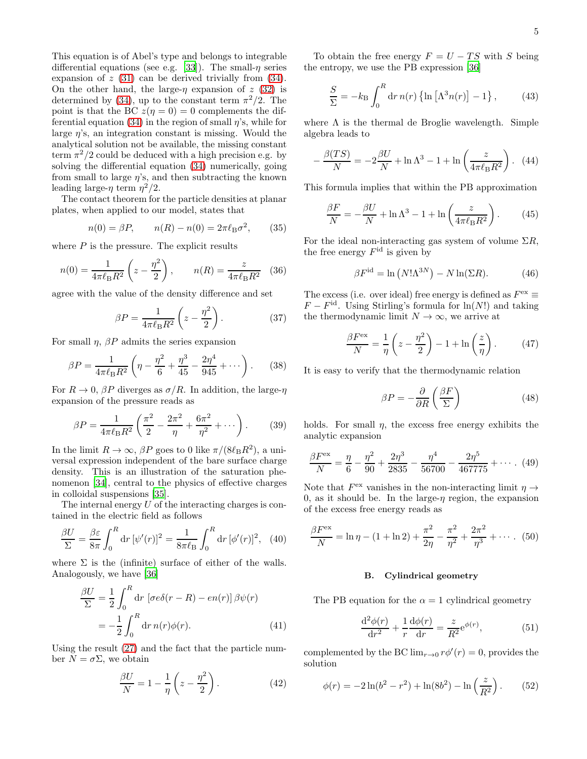This equation is of Abel's type and belongs to integrable differential equations (see e.g. [\[33\]](#page-9-27)). The small- $\eta$  series expansion of  $z(31)$  $z(31)$  can be derived trivially from  $(34)$ . On the other hand, the large- $\eta$  expansion of z [\(32\)](#page-3-6) is determined by [\(34\)](#page-3-5), up to the constant term  $\pi^2/2$ . The point is that the BC  $z(\eta = 0) = 0$  complements the dif-ferential equation [\(34\)](#page-3-5) in the region of small  $\eta$ 's, while for large  $\eta$ 's, an integration constant is missing. Would the analytical solution not be available, the missing constant term  $\pi^2/2$  could be deduced with a high precision e.g. by solving the differential equation [\(34\)](#page-3-5) numerically, going from small to large  $\eta$ 's, and then subtracting the known leading large- $\eta$  term  $\eta^2/2$ .

The contact theorem for the particle densities at planar plates, when applied to our model, states that

$$
n(0) = \beta P, \qquad n(R) - n(0) = 2\pi \ell_{\rm B} \sigma^2, \qquad (35)
$$

where  $P$  is the pressure. The explicit results

$$
n(0) = \frac{1}{4\pi\ell_{\rm B}R^2} \left(z - \frac{\eta^2}{2}\right), \qquad n(R) = \frac{z}{4\pi\ell_{\rm B}R^2} \quad (36)
$$

agree with the value of the density difference and set

$$
\beta P = \frac{1}{4\pi \ell_{\rm B} R^2} \left( z - \frac{\eta^2}{2} \right). \tag{37}
$$

For small  $\eta$ ,  $\beta P$  admits the series expansion

$$
\beta P = \frac{1}{4\pi \ell_{\rm B} R^2} \left( \eta - \frac{\eta^2}{6} + \frac{\eta^3}{45} - \frac{2\eta^4}{945} + \cdots \right). \tag{38}
$$

For  $R \to 0$ ,  $\beta P$  diverges as  $\sigma/R$ . In addition, the large- $\eta$ expansion of the pressure reads as

$$
\beta P = \frac{1}{4\pi \ell_{\rm B} R^2} \left( \frac{\pi^2}{2} - \frac{2\pi^2}{\eta} + \frac{6\pi^2}{\eta^2} + \cdots \right). \tag{39}
$$

In the limit  $R \to \infty$ ,  $\beta P$  goes to 0 like  $\pi/(8\ell_{\rm B}R^2)$ , a universal expression independent of the bare surface charge density. This is an illustration of the saturation phenomenon [\[34\]](#page-9-28), central to the physics of effective charges in colloidal suspensions [\[35](#page-9-29)].

The internal energy  $U$  of the interacting charges is contained in the electric field as follows

$$
\frac{\beta U}{\Sigma} = \frac{\beta \varepsilon}{8\pi} \int_0^R dr \, [\psi'(r)]^2 = \frac{1}{8\pi \ell_B} \int_0^R dr \, [\phi'(r)]^2, \quad (40)
$$

where  $\Sigma$  is the (infinite) surface of either of the walls. Analogously, we have [\[36\]](#page-9-30)

$$
\frac{\beta U}{\Sigma} = \frac{1}{2} \int_0^R dr \left[ \sigma e \delta(r - R) - e n(r) \right] \beta \psi(r)
$$

$$
= -\frac{1}{2} \int_0^R dr \, n(r) \phi(r). \tag{41}
$$

Using the result [\(27\)](#page-3-7) and the fact that the particle number  $N = \sigma \Sigma$ , we obtain

$$
\frac{\beta U}{N} = 1 - \frac{1}{\eta} \left( z - \frac{\eta^2}{2} \right). \tag{42}
$$

To obtain the free energy  $F = U - TS$  with S being the entropy, we use the PB expression [\[36](#page-9-30)]

$$
\frac{S}{\Sigma} = -k_{\rm B} \int_0^R dr \, n(r) \left\{ \ln \left[ \Lambda^3 n(r) \right] - 1 \right\},\tag{43}
$$

where  $\Lambda$  is the thermal de Broglie wavelength. Simple algebra leads to

$$
-\frac{\beta(TS)}{N} = -2\frac{\beta U}{N} + \ln \Lambda^3 - 1 + \ln\left(\frac{z}{4\pi\ell_{\rm B}R^2}\right). \tag{44}
$$

This formula implies that within the PB approximation

$$
\frac{\beta F}{N} = -\frac{\beta U}{N} + \ln \Lambda^3 - 1 + \ln \left( \frac{z}{4\pi \ell_{\rm B} R^2} \right). \tag{45}
$$

For the ideal non-interacting gas system of volume  $\Sigma R$ , the free energy  $F<sup>id</sup>$  is given by

$$
\beta F^{\text{id}} = \ln \left( N! \Lambda^{3N} \right) - N \ln(\Sigma R). \tag{46}
$$

The excess (i.e. over ideal) free energy is defined as  $F^{\text{ex}} \equiv$  $F - F^{\text{id}}$ . Using Stirling's formula for  $\ln(N!)$  and taking the thermodynamic limit  $N \to \infty$ , we arrive at

$$
\frac{\beta F^{\text{ex}}}{N} = \frac{1}{\eta} \left( z - \frac{\eta^2}{2} \right) - 1 + \ln \left( \frac{z}{\eta} \right). \tag{47}
$$

It is easy to verify that the thermodynamic relation

$$
\beta P = -\frac{\partial}{\partial R} \left( \frac{\beta F}{\Sigma} \right) \tag{48}
$$

holds. For small  $\eta$ , the excess free energy exhibits the analytic expansion

$$
\frac{\beta F^{\text{ex}}}{N} = \frac{\eta}{6} - \frac{\eta^2}{90} + \frac{2\eta^3}{2835} - \frac{\eta^4}{56700} - \frac{2\eta^5}{467775} + \cdots \tag{49}
$$

Note that  $F^{\text{ex}}$  vanishes in the non-interacting limit  $\eta \to$ 0, as it should be. In the large- $\eta$  region, the expansion of the excess free energy reads as

$$
\frac{\beta F^{\text{ex}}}{N} = \ln \eta - (1 + \ln 2) + \frac{\pi^2}{2\eta} - \frac{\pi^2}{\eta^2} + \frac{2\pi^2}{\eta^3} + \cdots. (50)
$$

#### B. Cylindrical geometry

The PB equation for the  $\alpha = 1$  cylindrical geometry

$$
\frac{\mathrm{d}^2 \phi(r)}{\mathrm{d}r^2} + \frac{1}{r} \frac{\mathrm{d}\phi(r)}{\mathrm{d}r} = \frac{z}{R^2} \mathrm{e}^{\phi(r)},\tag{51}
$$

complemented by the BC  $\lim_{r\to 0} r\phi'(r) = 0$ , provides the solution

$$
\phi(r) = -2\ln(b^2 - r^2) + \ln(8b^2) - \ln\left(\frac{z}{R^2}\right). \tag{52}
$$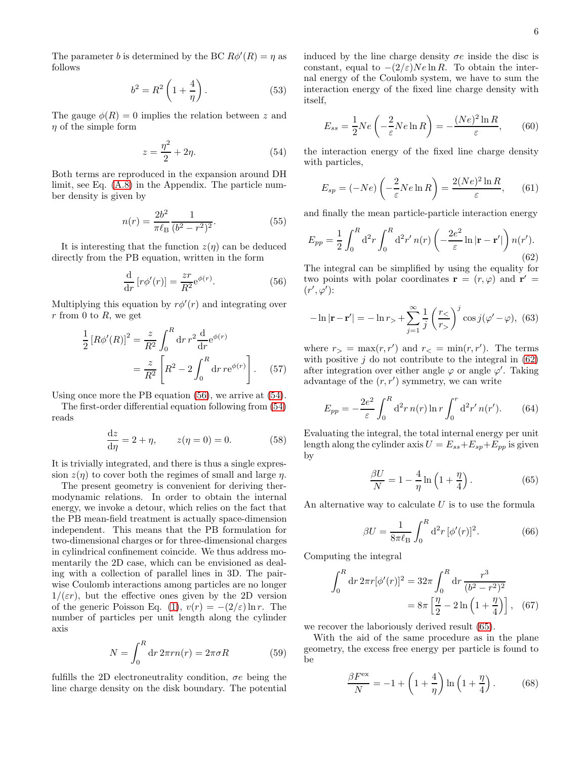The parameter b is determined by the BC  $R\phi'(R) = \eta$  as follows

$$
b^2 = R^2 \left( 1 + \frac{4}{\eta} \right). \tag{53}
$$

The gauge  $\phi(R) = 0$  implies the relation between z and  $\eta$  of the simple form

<span id="page-5-1"></span>
$$
z = \frac{\eta^2}{2} + 2\eta. \tag{54}
$$

Both terms are reproduced in the expansion around DH limit, see Eq. [\(A.8\)](#page-9-26) in the Appendix. The particle number density is given by

$$
n(r) = \frac{2b^2}{\pi \ell_{\rm B}} \frac{1}{(b^2 - r^2)^2}.
$$
\n(55)

It is interesting that the function  $z(\eta)$  can be deduced directly from the PB equation, written in the form

<span id="page-5-0"></span>
$$
\frac{\mathrm{d}}{\mathrm{d}r} \left[ r\phi'(r) \right] = \frac{zr}{R^2} \mathrm{e}^{\phi(r)}.
$$
\n(56)

Multiplying this equation by  $r\phi'(r)$  and integrating over  $r$  from 0 to  $R$ , we get

$$
\frac{1}{2} [R\phi'(R)]^2 = \frac{z}{R^2} \int_0^R dr \, r^2 \frac{d}{dr} e^{\phi(r)}\n= \frac{z}{R^2} \left[ R^2 - 2 \int_0^R dr \, r e^{\phi(r)} \right].
$$
\n(57)

Using once more the PB equation [\(56\)](#page-5-0), we arrive at [\(54\)](#page-5-1).

The first-order differential equation following from [\(54\)](#page-5-1) reads

<span id="page-5-5"></span>
$$
\frac{\mathrm{d}z}{\mathrm{d}\eta} = 2 + \eta, \qquad z(\eta = 0) = 0. \tag{58}
$$

It is trivially integrated, and there is thus a single expression  $z(\eta)$  to cover both the regimes of small and large  $\eta$ .

The present geometry is convenient for deriving thermodynamic relations. In order to obtain the internal energy, we invoke a detour, which relies on the fact that the PB mean-field treatment is actually space-dimension independent. This means that the PB formulation for two-dimensional charges or for three-dimensional charges in cylindrical confinement coincide. We thus address momentarily the 2D case, which can be envisioned as dealing with a collection of parallel lines in 3D. The pairwise Coulomb interactions among particles are no longer  $1/(\varepsilon r)$ , but the effective ones given by the 2D version of the generic Poisson Eq. [\(1\)](#page-1-3),  $v(r) = -(2/\varepsilon) \ln r$ . The number of particles per unit length along the cylinder axis

$$
N = \int_0^R dr \, 2\pi r n(r) = 2\pi \sigma R \tag{59}
$$

fulfills the 2D electroneutrality condition,  $\sigma e$  being the line charge density on the disk boundary. The potential induced by the line charge density  $\sigma e$  inside the disc is constant, equal to  $-(2/\varepsilon)Ne\ln R$ . To obtain the internal energy of the Coulomb system, we have to sum the interaction energy of the fixed line charge density with itself,

$$
E_{ss} = \frac{1}{2}Ne\left(-\frac{2}{\varepsilon}Ne\ln R\right) = -\frac{(Ne)^2\ln R}{\varepsilon},\qquad(60)
$$

the interaction energy of the fixed line charge density with particles,

$$
E_{sp} = (-Ne)\left(-\frac{2}{\varepsilon}Ne\ln R\right) = \frac{2(Ne)^2\ln R}{\varepsilon},\qquad(61)
$$

and finally the mean particle-particle interaction energy

<span id="page-5-2"></span>
$$
E_{pp} = \frac{1}{2} \int_0^R d^2r \int_0^R d^2r' n(r) \left( -\frac{2e^2}{\varepsilon} \ln|\mathbf{r} - \mathbf{r}'| \right) n(r'). \tag{62}
$$

The integral can be simplified by using the equality for two points with polar coordinates  $\mathbf{r} = (r, \varphi)$  and  $\mathbf{r}' =$  $(r', \varphi')$ :

$$
-\ln|\mathbf{r} - \mathbf{r}'| = -\ln r_{>} + \sum_{j=1}^{\infty} \frac{1}{j} \left(\frac{r_{<}}{r_{>}}\right)^j \cos j(\varphi' - \varphi), \tag{63}
$$

where  $r_{>} = \max(r, r')$  and  $r_{<} = \min(r, r')$ . The terms with positive  $i$  do not contribute to the integral in  $(62)$ after integration over either angle  $\varphi$  or angle  $\varphi'$ . Taking advantage of the  $(r, r')$  symmetry, we can write

$$
E_{pp} = -\frac{2e^2}{\varepsilon} \int_0^R d^2r \, n(r) \ln r \int_0^r d^2r' \, n(r'). \tag{64}
$$

Evaluating the integral, the total internal energy per unit length along the cylinder axis  $U = E_{ss} + E_{sp} + E_{pp}$  is given by

<span id="page-5-3"></span>
$$
\frac{\beta U}{N} = 1 - \frac{4}{\eta} \ln\left(1 + \frac{\eta}{4}\right). \tag{65}
$$

An alternative way to calculate  $U$  is to use the formula

$$
\beta U = \frac{1}{8\pi\ell_{\rm B}} \int_0^R d^2r \, [\phi'(r)]^2.
$$
 (66)

Computing the integral

$$
\int_0^R dr \, 2\pi r [\phi'(r)]^2 = 32\pi \int_0^R dr \, \frac{r^3}{(b^2 - r^2)^2}
$$

$$
= 8\pi \left[ \frac{\eta}{2} - 2\ln\left(1 + \frac{\eta}{4}\right) \right], \quad (67)
$$

we recover the laboriously derived result [\(65\)](#page-5-3).

With the aid of the same procedure as in the plane geometry, the excess free energy per particle is found to be

<span id="page-5-4"></span>
$$
\frac{\beta F^{\text{ex}}}{N} = -1 + \left(1 + \frac{4}{\eta}\right) \ln\left(1 + \frac{\eta}{4}\right). \tag{68}
$$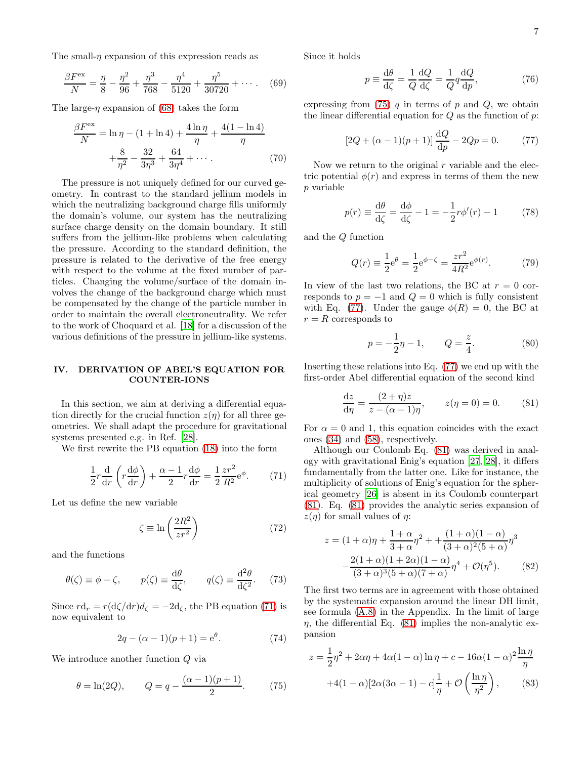The small- $\eta$  expansion of this expression reads as

$$
\frac{\beta F^{\text{ex}}}{N} = \frac{\eta}{8} - \frac{\eta^2}{96} + \frac{\eta^3}{768} - \frac{\eta^4}{5120} + \frac{\eta^5}{30720} + \cdots
$$
 (69)

The large- $\eta$  expansion of [\(68\)](#page-5-4) takes the form

$$
\frac{\beta F^{\text{ex}}}{N} = \ln \eta - (1 + \ln 4) + \frac{4 \ln \eta}{\eta} + \frac{4(1 - \ln 4)}{\eta} + \frac{8}{\eta^2} - \frac{32}{3\eta^3} + \frac{64}{3\eta^4} + \cdots
$$
 (70)

The pressure is not uniquely defined for our curved geometry. In contrast to the standard jellium models in which the neutralizing background charge fills uniformly the domain's volume, our system has the neutralizing surface charge density on the domain boundary. It still suffers from the jellium-like problems when calculating the pressure. According to the standard definition, the pressure is related to the derivative of the free energy with respect to the volume at the fixed number of particles. Changing the volume/surface of the domain involves the change of the background charge which must be compensated by the change of the particle number in order to maintain the overall electroneutrality. We refer to the work of Choquard et al. [\[18\]](#page-9-31) for a discussion of the various definitions of the pressure in jellium-like systems.

# <span id="page-6-0"></span>IV. DERIVATION OF ABEL'S EQUATION FOR COUNTER-IONS

In this section, we aim at deriving a differential equation directly for the crucial function  $z(\eta)$  for all three geometries. We shall adapt the procedure for gravitational systems presented e.g. in Ref. [\[28](#page-9-21)].

We first rewrite the PB equation [\(18\)](#page-2-3) into the form

<span id="page-6-1"></span>
$$
\frac{1}{2}r\frac{\mathrm{d}}{\mathrm{d}r}\left(r\frac{\mathrm{d}\phi}{\mathrm{d}r}\right) + \frac{\alpha - 1}{2}r\frac{\mathrm{d}\phi}{\mathrm{d}r} = \frac{1}{2}\frac{zr^2}{R^2}\mathrm{e}^{\phi}.\tag{71}
$$

Let us define the new variable

$$
\zeta \equiv \ln\left(\frac{2R^2}{zr^2}\right) \tag{72}
$$

and the functions

$$
\theta(\zeta) \equiv \phi - \zeta, \qquad p(\zeta) \equiv \frac{\mathrm{d}\theta}{\mathrm{d}\zeta}, \qquad q(\zeta) \equiv \frac{\mathrm{d}^2 \theta}{\mathrm{d}\zeta^2}.
$$
 (73)

Since  $r d_r = r (d\zeta/dr) d_\zeta = -2d_\zeta$ , the PB equation [\(71\)](#page-6-1) is now equivalent to

$$
2q - (\alpha - 1)(p + 1) = e^{\theta}.
$$
 (74)

We introduce another function Q via

<span id="page-6-2"></span>
$$
\theta = \ln(2Q),
$$
  $Q = q - \frac{(\alpha - 1)(p + 1)}{2}.$  (75)

Since it holds

$$
p \equiv \frac{\mathrm{d}\theta}{\mathrm{d}\zeta} = \frac{1}{Q} \frac{\mathrm{d}Q}{\mathrm{d}\zeta} = \frac{1}{Q} q \frac{\mathrm{d}Q}{\mathrm{d}p},\tag{76}
$$

expressing from  $(75)$  q in terms of p and Q, we obtain the linear differential equation for  $Q$  as the function of  $p$ :

<span id="page-6-3"></span>
$$
[2Q + (\alpha - 1)(p + 1)] \frac{dQ}{dp} - 2Qp = 0.
$$
 (77)

Now we return to the original  $r$  variable and the electric potential  $\phi(r)$  and express in terms of them the new p variable

$$
p(r) \equiv \frac{\mathrm{d}\theta}{\mathrm{d}\zeta} = \frac{\mathrm{d}\phi}{\mathrm{d}\zeta} - 1 = -\frac{1}{2}r\phi'(r) - 1\tag{78}
$$

and the Q function

$$
Q(r) \equiv \frac{1}{2}e^{\theta} = \frac{1}{2}e^{\phi - \zeta} = \frac{zr^2}{4R^2}e^{\phi(r)}.
$$
 (79)

In view of the last two relations, the BC at  $r = 0$  corresponds to  $p = -1$  and  $Q = 0$  which is fully consistent with Eq. [\(77\)](#page-6-3). Under the gauge  $\phi(R) = 0$ , the BC at  $r = R$  corresponds to

$$
p = -\frac{1}{2}\eta - 1, \qquad Q = \frac{z}{4}.
$$
 (80)

Inserting these relations into Eq. [\(77\)](#page-6-3) we end up with the first-order Abel differential equation of the second kind

<span id="page-6-4"></span>
$$
\frac{dz}{d\eta} = \frac{(2+\eta)z}{z - (\alpha - 1)\eta}, \qquad z(\eta = 0) = 0.
$$
 (81)

For  $\alpha = 0$  and 1, this equation coincides with the exact ones [\(34\)](#page-3-5) and [\(58\)](#page-5-5), respectively.

Although our Coulomb Eq. [\(81\)](#page-6-4) was derived in analogy with gravitational Enig's equation [\[27,](#page-9-20) [28\]](#page-9-21), it differs fundamentally from the latter one. Like for instance, the multiplicity of solutions of Enig's equation for the spherical geometry [\[26\]](#page-9-19) is absent in its Coulomb counterpart [\(81\)](#page-6-4). Eq. [\(81\)](#page-6-4) provides the analytic series expansion of  $z(\eta)$  for small values of  $\eta$ :

$$
z = (1 + \alpha)\eta + \frac{1 + \alpha}{3 + \alpha}\eta^2 + \frac{(1 + \alpha)(1 - \alpha)}{(3 + \alpha)^2(5 + \alpha)}\eta^3
$$

$$
-\frac{2(1 + \alpha)(1 + 2\alpha)(1 - \alpha)}{(3 + \alpha)^3(5 + \alpha)(7 + \alpha)}\eta^4 + \mathcal{O}(\eta^5). \tag{82}
$$

The first two terms are in agreement with those obtained by the systematic expansion around the linear DH limit, see formula [\(A.8\)](#page-9-26) in the Appendix. In the limit of large  $\eta$ , the differential Eq. [\(81\)](#page-6-4) implies the non-analytic expansion

$$
z = \frac{1}{2}\eta^2 + 2\alpha\eta + 4\alpha(1-\alpha)\ln\eta + c - 16\alpha(1-\alpha)^2\frac{\ln\eta}{\eta}
$$

$$
+4(1-\alpha)[2\alpha(3\alpha-1) - c]\frac{1}{\eta} + \mathcal{O}\left(\frac{\ln\eta}{\eta^2}\right),\qquad(83)
$$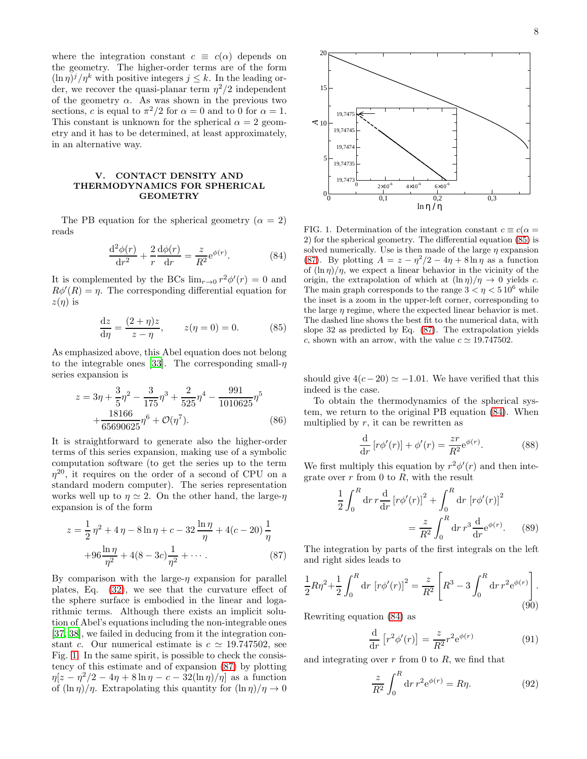where the integration constant  $c \equiv c(\alpha)$  depends on the geometry. The higher-order terms are of the form  $(\ln \eta)^j/\eta^k$  with positive integers  $j \leq k$ . In the leading order, we recover the quasi-planar term  $\eta^2/2$  independent of the geometry  $\alpha$ . As was shown in the previous two sections, c is equal to  $\pi^2/2$  for  $\alpha = 0$  and to 0 for  $\alpha = 1$ . This constant is unknown for the spherical  $\alpha = 2$  geometry and it has to be determined, at least approximately, in an alternative way.

# <span id="page-7-0"></span>V. CONTACT DENSITY AND THERMODYNAMICS FOR SPHERICAL GEOMETRY

The PB equation for the spherical geometry ( $\alpha = 2$ ) reads

<span id="page-7-4"></span>
$$
\frac{\mathrm{d}^2\phi(r)}{\mathrm{d}r^2} + \frac{2}{r}\frac{\mathrm{d}\phi(r)}{\mathrm{d}r} = \frac{z}{R^2}e^{\phi(r)}.\tag{84}
$$

It is complemented by the BCs  $\lim_{r\to 0} r^2 \phi'(r) = 0$  and  $R\phi'(R) = \eta$ . The corresponding differential equation for  $z(\eta)$  is

<span id="page-7-3"></span>
$$
\frac{dz}{d\eta} = \frac{(2+\eta)z}{z-\eta}, \qquad z(\eta = 0) = 0.
$$
 (85)

As emphasized above, this Abel equation does not belong to the integrable ones [\[33](#page-9-27)]. The corresponding small- $\eta$ series expansion is

$$
z = 3\eta + \frac{3}{5}\eta^2 - \frac{3}{175}\eta^3 + \frac{2}{525}\eta^4 - \frac{991}{1010625}\eta^5 + \frac{18166}{65690625}\eta^6 + \mathcal{O}(\eta^7).
$$
 (86)

It is straightforward to generate also the higher-order terms of this series expansion, making use of a symbolic computation software (to get the series up to the term  $\eta^{20}$ , it requires on the order of a second of CPU on a standard modern computer). The series representation works well up to  $\eta \simeq 2$ . On the other hand, the large- $\eta$ expansion is of the form

<span id="page-7-2"></span>
$$
z = \frac{1}{2} \eta^2 + 4 \eta - 8 \ln \eta + c - 32 \frac{\ln \eta}{\eta} + 4(c - 20) \frac{1}{\eta}
$$

$$
+ 96 \frac{\ln \eta}{\eta^2} + 4(8 - 3c) \frac{1}{\eta^2} + \cdots
$$
 (87)

By comparison with the large- $\eta$  expansion for parallel plates, Eq. [\(32\)](#page-3-6), we see that the curvature effect of the sphere surface is embodied in the linear and logarithmic terms. Although there exists an implicit solution of Abel's equations including the non-integrable ones [\[37,](#page-9-32) [38](#page-9-33)], we failed in deducing from it the integration constant c. Our numerical estimate is  $c \approx 19.747502$ , see Fig. [1.](#page-7-1) In the same spirit, is possible to check the consistency of this estimate and of expansion [\(87\)](#page-7-2) by plotting  $\eta[z-\eta^2/2-4\eta+8\ln\eta-c-32(\ln\eta)/\eta]$  as a function of  $(\ln \eta)/\eta$ . Extrapolating this quantity for  $(\ln \eta)/\eta \to 0$ 



<span id="page-7-1"></span>FIG. 1. Determination of the integration constant  $c \equiv c(\alpha =$ 2) for the spherical geometry. The differential equation [\(85\)](#page-7-3) is solved numerically. Use is then made of the large  $\eta$  expansion [\(87\)](#page-7-2). By plotting  $A = z - \eta^2/2 - 4\eta + 8 \ln \eta$  as a function of  $(\ln \eta)/\eta$ , we expect a linear behavior in the vicinity of the origin, the extrapolation of which at  $(\ln \eta)/\eta \to 0$  yields c. The main graph corresponds to the range  $3 < \eta < 510^6$  while the inset is a zoom in the upper-left corner, corresponding to the large  $\eta$  regime, where the expected linear behavior is met. The dashed line shows the best fit to the numerical data, with slope 32 as predicted by Eq. [\(87\)](#page-7-2). The extrapolation yields c, shown with an arrow, with the value  $c \approx 19.747502$ .

should give  $4(c-20) \simeq -1.01$ . We have verified that this indeed is the case.

To obtain the thermodynamics of the spherical system, we return to the original PB equation [\(84\)](#page-7-4). When multiplied by  $r$ , it can be rewritten as

$$
\frac{\mathrm{d}}{\mathrm{d}r}\left[r\phi'(r)\right] + \phi'(r) = \frac{zr}{R^2}e^{\phi(r)}.\tag{88}
$$

We first multiply this equation by  $r^2 \phi'(r)$  and then integrate over  $r$  from 0 to  $R$ , with the result

$$
\frac{1}{2} \int_0^R dr \, r \frac{d}{dr} \left[ r \phi'(r) \right]^2 + \int_0^R dr \left[ r \phi'(r) \right]^2
$$
\n
$$
= \frac{z}{R^2} \int_0^R dr \, r^3 \frac{d}{dr} e^{\phi(r)}.
$$
\n(89)

The integration by parts of the first integrals on the left and right sides leads to

<span id="page-7-5"></span>
$$
\frac{1}{2}R\eta^2 + \frac{1}{2}\int_0^R dr \left[r\phi'(r)\right]^2 = \frac{z}{R^2} \left[R^3 - 3\int_0^R dr \, r^2 e^{\phi(r)}\right].
$$
\n(90)

Rewriting equation [\(84\)](#page-7-4) as

$$
\frac{\mathrm{d}}{\mathrm{d}r} \left[ r^2 \phi'(r) \right] = \frac{z}{R^2} r^2 e^{\phi(r)} \tag{91}
$$

and integrating over  $r$  from 0 to  $R$ , we find that

$$
\frac{z}{R^2} \int_0^R dr \, r^2 e^{\phi(r)} = R\eta. \tag{92}
$$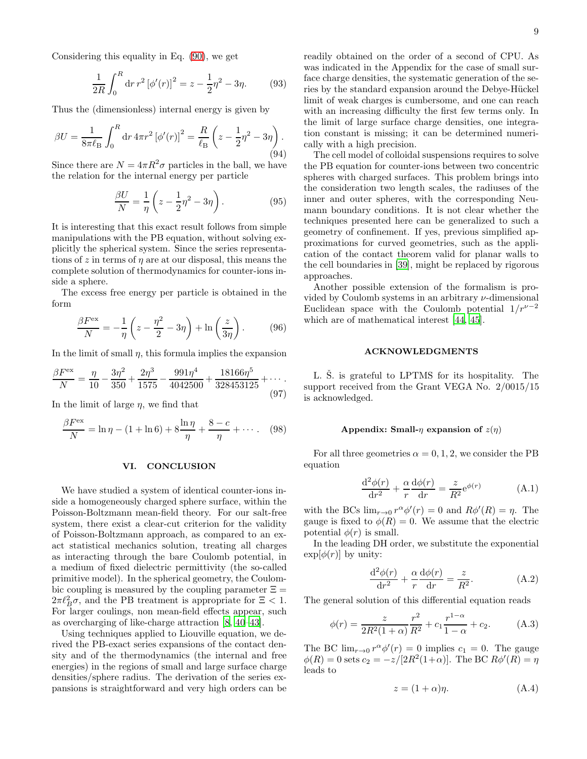Considering this equality in Eq. [\(90\)](#page-7-5), we get

$$
\frac{1}{2R} \int_0^R dr \, r^2 \left[ \phi'(r) \right]^2 = z - \frac{1}{2} \eta^2 - 3\eta. \tag{93}
$$

Thus the (dimensionless) internal energy is given by

$$
\beta U = \frac{1}{8\pi \ell_{\rm B}} \int_0^R dr \, 4\pi r^2 \left[ \phi'(r) \right]^2 = \frac{R}{\ell_{\rm B}} \left( z - \frac{1}{2} \eta^2 - 3\eta \right). \tag{94}
$$

Since there are  $N = 4\pi R^2 \sigma$  particles in the ball, we have the relation for the internal energy per particle

$$
\frac{\beta U}{N} = \frac{1}{\eta} \left( z - \frac{1}{2} \eta^2 - 3\eta \right). \tag{95}
$$

It is interesting that this exact result follows from simple manipulations with the PB equation, without solving explicitly the spherical system. Since the series representations of z in terms of  $\eta$  are at our disposal, this means the complete solution of thermodynamics for counter-ions inside a sphere.

The excess free energy per particle is obtained in the form

$$
\frac{\beta F^{\text{ex}}}{N} = -\frac{1}{\eta} \left( z - \frac{\eta^2}{2} - 3\eta \right) + \ln \left( \frac{z}{3\eta} \right). \tag{96}
$$

In the limit of small  $\eta$ , this formula implies the expansion

$$
\frac{\beta F^{\text{ex}}}{N} = \frac{\eta}{10} - \frac{3\eta^2}{350} + \frac{2\eta^3}{1575} - \frac{991\eta^4}{4042500} + \frac{18166\eta^5}{328453125} + \dotsb
$$
\n(97)

In the limit of large  $\eta$ , we find that

$$
\frac{\beta F^{\text{ex}}}{N} = \ln \eta - (1 + \ln 6) + 8 \frac{\ln \eta}{\eta} + \frac{8 - c}{\eta} + \dotsb \quad (98)
$$

### <span id="page-8-0"></span>VI. CONCLUSION

We have studied a system of identical counter-ions inside a homogeneously charged sphere surface, within the Poisson-Boltzmann mean-field theory. For our salt-free system, there exist a clear-cut criterion for the validity of Poisson-Boltzmann approach, as compared to an exact statistical mechanics solution, treating all charges as interacting through the bare Coulomb potential, in a medium of fixed dielectric permittivity (the so-called primitive model). In the spherical geometry, the Coulombic coupling is measured by the coupling parameter  $\Xi =$  $2\pi \ell_B^2 \sigma$ , and the PB treatment is appropriate for  $\Xi < 1$ . For larger coulings, non mean-field effects appear, such as overcharging of like-charge attraction [\[8,](#page-9-5) [40](#page-9-34)[–43\]](#page-9-35).

Using techniques applied to Liouville equation, we derived the PB-exact series expansions of the contact density and of the thermodynamics (the internal and free energies) in the regions of small and large surface charge densities/sphere radius. The derivation of the series expansions is straightforward and very high orders can be

readily obtained on the order of a second of CPU. As was indicated in the Appendix for the case of small surface charge densities, the systematic generation of the series by the standard expansion around the Debye-Hückel limit of weak charges is cumbersome, and one can reach with an increasing difficulty the first few terms only. In the limit of large surface charge densities, one integration constant is missing; it can be determined numerically with a high precision.

The cell model of colloidal suspensions requires to solve the PB equation for counter-ions between two concentric spheres with charged surfaces. This problem brings into the consideration two length scales, the radiuses of the inner and outer spheres, with the corresponding Neumann boundary conditions. It is not clear whether the techniques presented here can be generalized to such a geometry of confinement. If yes, previous simplified approximations for curved geometries, such as the application of the contact theorem valid for planar walls to the cell boundaries in [\[39](#page-9-36)], might be replaced by rigorous approaches.

Another possible extension of the formalism is provided by Coulomb systems in an arbitrary  $\nu$ -dimensional Euclidean space with the Coulomb potential  $1/r^{\nu-2}$ which are of mathematical interest [\[44,](#page-9-37) [45\]](#page-9-38).

### ACKNOWLEDGMENTS

L. S. is grateful to LPTMS for its hospitality. The support received from the Grant VEGA No. 2/0015/15 is acknowledged.

### Appendix: Small- $\eta$  expansion of  $z(\eta)$

For all three geometries  $\alpha = 0, 1, 2$ , we consider the PB equation

$$
\frac{\mathrm{d}^2 \phi(r)}{\mathrm{d}r^2} + \frac{\alpha}{r} \frac{\mathrm{d}\phi(r)}{\mathrm{d}r} = \frac{z}{R^2} e^{\phi(r)} \tag{A.1}
$$

with the BCs  $\lim_{r\to 0} r^{\alpha} \phi'(r) = 0$  and  $R\phi'(R) = \eta$ . The gauge is fixed to  $\phi(R) = 0$ . We assume that the electric potential  $\phi(r)$  is small.

In the leading DH order, we substitute the exponential  $\exp[\phi(r)]$  by unity:

$$
\frac{\mathrm{d}^2 \phi(r)}{\mathrm{d}r^2} + \frac{\alpha}{r} \frac{\mathrm{d}\phi(r)}{\mathrm{d}r} = \frac{z}{R^2}.\tag{A.2}
$$

The general solution of this differential equation reads

$$
\phi(r) = \frac{z}{2R^2(1+\alpha)}\frac{r^2}{R^2} + c_1\frac{r^{1-\alpha}}{1-\alpha} + c_2.
$$
 (A.3)

The BC  $\lim_{r\to 0} r^{\alpha} \phi'(r) = 0$  implies  $c_1 = 0$ . The gauge  $\phi(R) = 0$  sets  $c_2 = -z/[2R^2(1+\alpha)]$ . The BC  $R\phi'(R) = \eta$ leads to

$$
z = (1 + \alpha)\eta. \tag{A.4}
$$